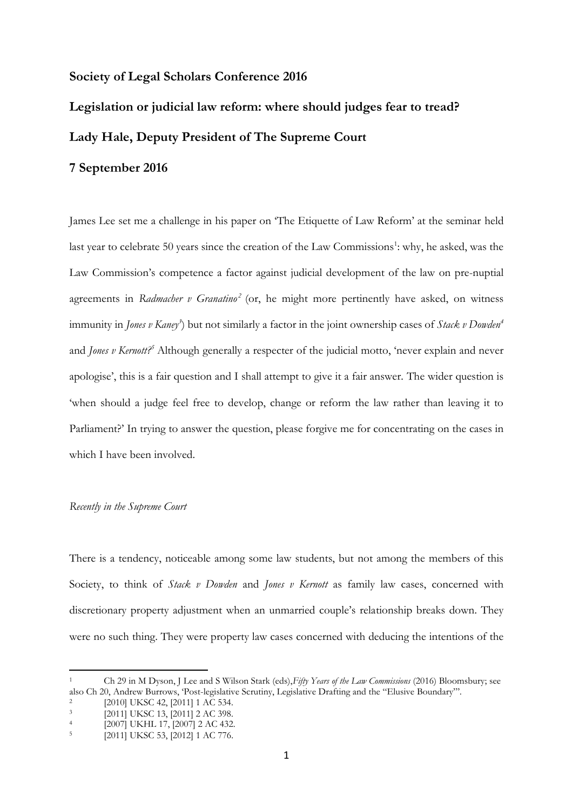# **Society of Legal Scholars Conference 2016**

# **Legislation or judicial law reform: where should judges fear to tread? Lady Hale, Deputy President of The Supreme Court**

James Lee set me a challenge in his paper on 'The Etiquette of Law Reform' at the seminar held last year to celebrate 50 years since the creation of the Law Commissions<sup>1</sup>: why, he asked, was the Law Commission's competence a factor against judicial development of the law on pre-nuptial agreements in *Radmacher v Granatino<sup>2</sup>* (or, he might more pertinently have asked, on witness immunity in *Jones v Kaney<sup>3</sup>* ) but not similarly a factor in the joint ownership cases of *Stack v Dowden<sup>4</sup>* and *Jones v Kernott? <sup>5</sup>* Although generally a respecter of the judicial motto, 'never explain and never apologise', this is a fair question and I shall attempt to give it a fair answer. The wider question is 'when should a judge feel free to develop, change or reform the law rather than leaving it to Parliament?' In trying to answer the question, please forgive me for concentrating on the cases in which I have been involved.

#### *Recently in the Supreme Court*

**7 September 2016**

There is a tendency, noticeable among some law students, but not among the members of this Society, to think of *Stack v Dowden* and *Jones v Kernott* as family law cases, concerned with discretionary property adjustment when an unmarried couple's relationship breaks down. They were no such thing. They were property law cases concerned with deducing the intentions of the

<sup>1</sup> Ch 29 in M Dyson, J Lee and S Wilson Stark (eds),*Fifty Years of the Law Commissions* (2016) Bloomsbury; see also Ch 20, Andrew Burrows, 'Post-legislative Scrutiny, Legislative Drafting and the "Elusive Boundary"'.

<sup>2</sup> [2010] UKSC 42, [2011] 1 AC 534.

<sup>3</sup> [2011] UKSC 13, [2011] 2 AC 398.

<sup>4</sup> [2007] UKHL 17, [2007] 2 AC 432.

<sup>5</sup> [2011] UKSC 53, [2012] 1 AC 776.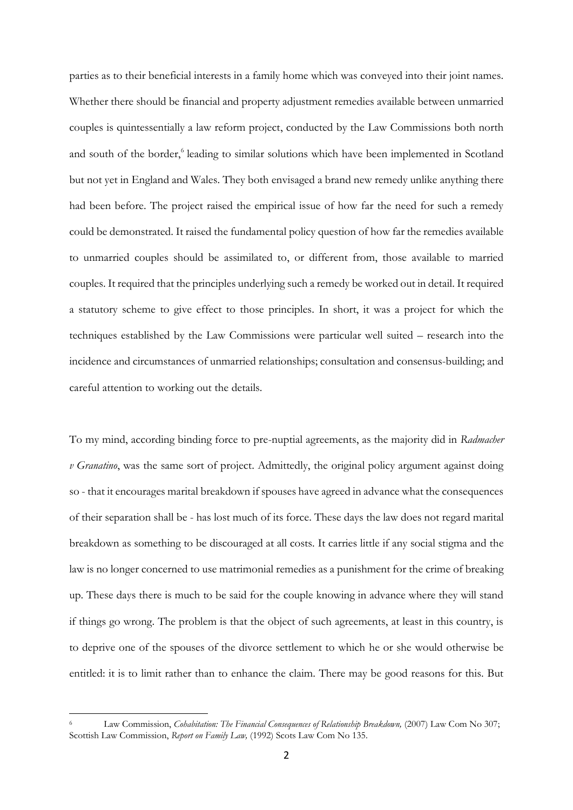parties as to their beneficial interests in a family home which was conveyed into their joint names. Whether there should be financial and property adjustment remedies available between unmarried couples is quintessentially a law reform project, conducted by the Law Commissions both north and south of the border,<sup>6</sup> leading to similar solutions which have been implemented in Scotland but not yet in England and Wales. They both envisaged a brand new remedy unlike anything there had been before. The project raised the empirical issue of how far the need for such a remedy could be demonstrated. It raised the fundamental policy question of how far the remedies available to unmarried couples should be assimilated to, or different from, those available to married couples. It required that the principles underlying such a remedy be worked out in detail. It required a statutory scheme to give effect to those principles. In short, it was a project for which the techniques established by the Law Commissions were particular well suited – research into the incidence and circumstances of unmarried relationships; consultation and consensus-building; and careful attention to working out the details.

To my mind, according binding force to pre-nuptial agreements, as the majority did in *Radmacher v Granatino*, was the same sort of project. Admittedly, the original policy argument against doing so - that it encourages marital breakdown if spouses have agreed in advance what the consequences of their separation shall be - has lost much of its force. These days the law does not regard marital breakdown as something to be discouraged at all costs. It carries little if any social stigma and the law is no longer concerned to use matrimonial remedies as a punishment for the crime of breaking up. These days there is much to be said for the couple knowing in advance where they will stand if things go wrong. The problem is that the object of such agreements, at least in this country, is to deprive one of the spouses of the divorce settlement to which he or she would otherwise be entitled: it is to limit rather than to enhance the claim. There may be good reasons for this. But

Law Commission, *Cohabitation: The Financial Consequences of Relationship Breakdown*, (2007) Law Com No 307; Scottish Law Commission, *Report on Family Law,* (1992) Scots Law Com No 135.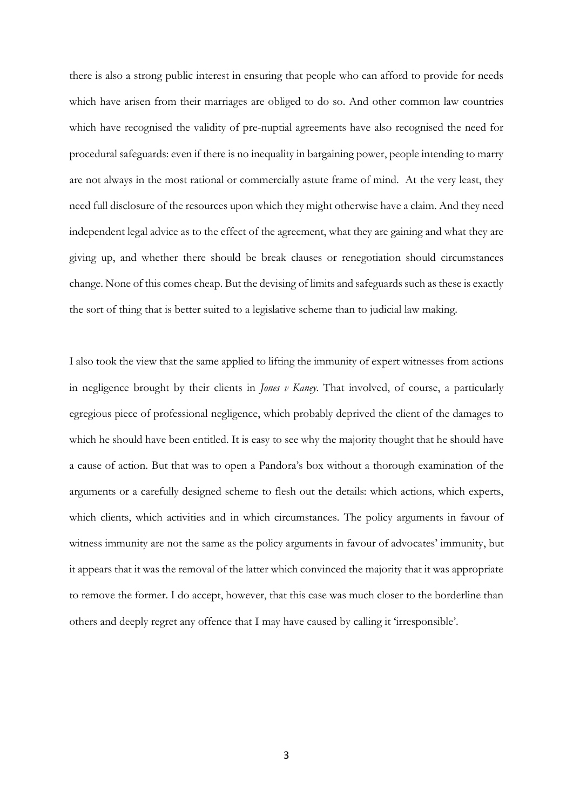there is also a strong public interest in ensuring that people who can afford to provide for needs which have arisen from their marriages are obliged to do so. And other common law countries which have recognised the validity of pre-nuptial agreements have also recognised the need for procedural safeguards: even if there is no inequality in bargaining power, people intending to marry are not always in the most rational or commercially astute frame of mind. At the very least, they need full disclosure of the resources upon which they might otherwise have a claim. And they need independent legal advice as to the effect of the agreement, what they are gaining and what they are giving up, and whether there should be break clauses or renegotiation should circumstances change. None of this comes cheap. But the devising of limits and safeguards such as these is exactly the sort of thing that is better suited to a legislative scheme than to judicial law making.

I also took the view that the same applied to lifting the immunity of expert witnesses from actions in negligence brought by their clients in *Jones v Kaney*. That involved, of course, a particularly egregious piece of professional negligence, which probably deprived the client of the damages to which he should have been entitled. It is easy to see why the majority thought that he should have a cause of action. But that was to open a Pandora's box without a thorough examination of the arguments or a carefully designed scheme to flesh out the details: which actions, which experts, which clients, which activities and in which circumstances. The policy arguments in favour of witness immunity are not the same as the policy arguments in favour of advocates' immunity, but it appears that it was the removal of the latter which convinced the majority that it was appropriate to remove the former. I do accept, however, that this case was much closer to the borderline than others and deeply regret any offence that I may have caused by calling it 'irresponsible'.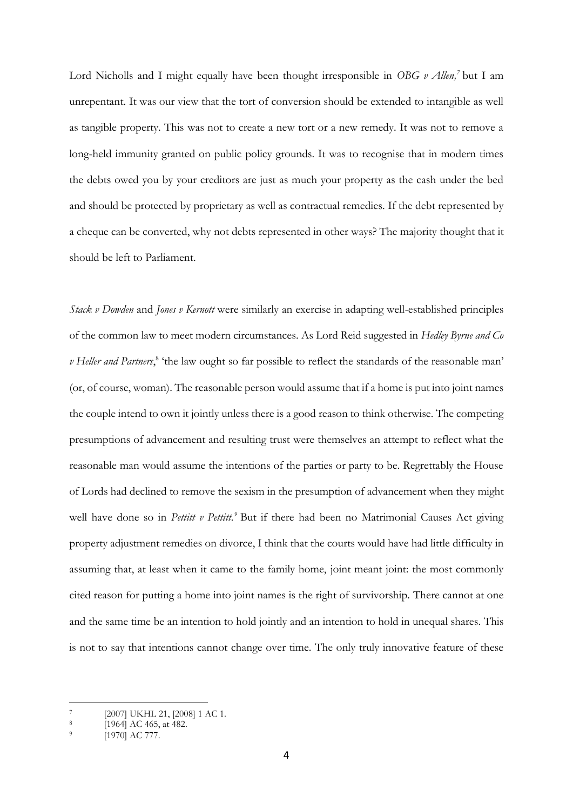Lord Nicholls and I might equally have been thought irresponsible in *OBG v Allen*,<sup>7</sup> but I am unrepentant. It was our view that the tort of conversion should be extended to intangible as well as tangible property. This was not to create a new tort or a new remedy. It was not to remove a long-held immunity granted on public policy grounds. It was to recognise that in modern times the debts owed you by your creditors are just as much your property as the cash under the bed and should be protected by proprietary as well as contractual remedies. If the debt represented by a cheque can be converted, why not debts represented in other ways? The majority thought that it should be left to Parliament.

*Stack v Dowden* and *Jones v Kernott* were similarly an exercise in adapting well-established principles of the common law to meet modern circumstances. As Lord Reid suggested in *Hedley Byrne and Co*  v Heller and Partners,<sup>8</sup> 'the law ought so far possible to reflect the standards of the reasonable man' (or, of course, woman). The reasonable person would assume that if a home is put into joint names the couple intend to own it jointly unless there is a good reason to think otherwise. The competing presumptions of advancement and resulting trust were themselves an attempt to reflect what the reasonable man would assume the intentions of the parties or party to be. Regrettably the House of Lords had declined to remove the sexism in the presumption of advancement when they might well have done so in *Pettitt v Pettitt.*<sup>9</sup> But if there had been no Matrimonial Causes Act giving property adjustment remedies on divorce, I think that the courts would have had little difficulty in assuming that, at least when it came to the family home, joint meant joint: the most commonly cited reason for putting a home into joint names is the right of survivorship. There cannot at one and the same time be an intention to hold jointly and an intention to hold in unequal shares. This is not to say that intentions cannot change over time. The only truly innovative feature of these

<sup>7</sup> [2007] UKHL 21, [2008] 1 AC 1.

<sup>8</sup> [1964] AC 465, at 482.

<sup>9</sup> [1970] AC 777.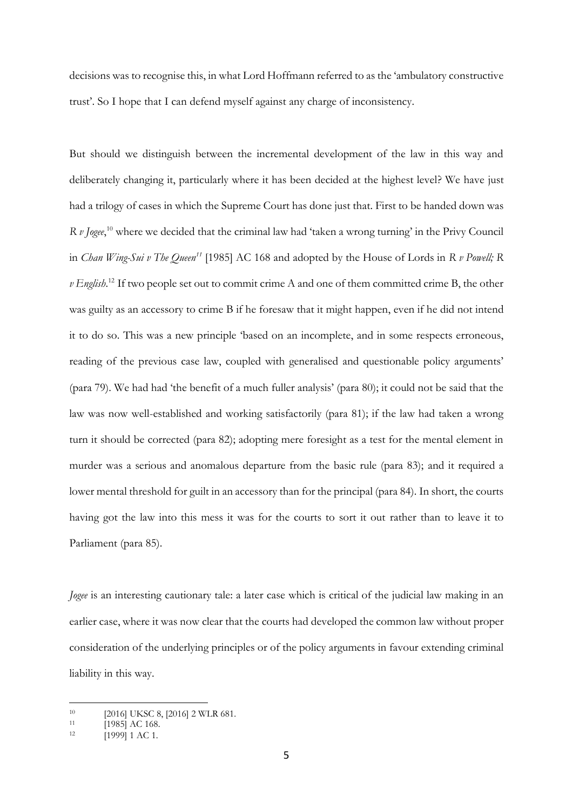decisions was to recognise this, in what Lord Hoffmann referred to as the 'ambulatory constructive trust'. So I hope that I can defend myself against any charge of inconsistency.

But should we distinguish between the incremental development of the law in this way and deliberately changing it, particularly where it has been decided at the highest level? We have just had a trilogy of cases in which the Supreme Court has done just that. First to be handed down was *R v Jogee*, <sup>10</sup> where we decided that the criminal law had 'taken a wrong turning' in the Privy Council in *Chan Wing-Sui v The Queen<sup>11</sup>* [1985] AC 168 and adopted by the House of Lords in *R v Powell; R v English*. <sup>12</sup> If two people set out to commit crime A and one of them committed crime B, the other was guilty as an accessory to crime B if he foresaw that it might happen, even if he did not intend it to do so. This was a new principle 'based on an incomplete, and in some respects erroneous, reading of the previous case law, coupled with generalised and questionable policy arguments' (para 79). We had had 'the benefit of a much fuller analysis' (para 80); it could not be said that the law was now well-established and working satisfactorily (para 81); if the law had taken a wrong turn it should be corrected (para 82); adopting mere foresight as a test for the mental element in murder was a serious and anomalous departure from the basic rule (para 83); and it required a lower mental threshold for guilt in an accessory than for the principal (para 84). In short, the courts having got the law into this mess it was for the courts to sort it out rather than to leave it to Parliament (para 85).

*Jogee* is an interesting cautionary tale: a later case which is critical of the judicial law making in an earlier case, where it was now clear that the courts had developed the common law without proper consideration of the underlying principles or of the policy arguments in favour extending criminal liability in this way.

<sup>10 [2016]</sup> UKSC 8, [2016] 2 WLR 681.

 $11$  [1985] AC 168.

<sup>12</sup> [1999] 1 AC 1.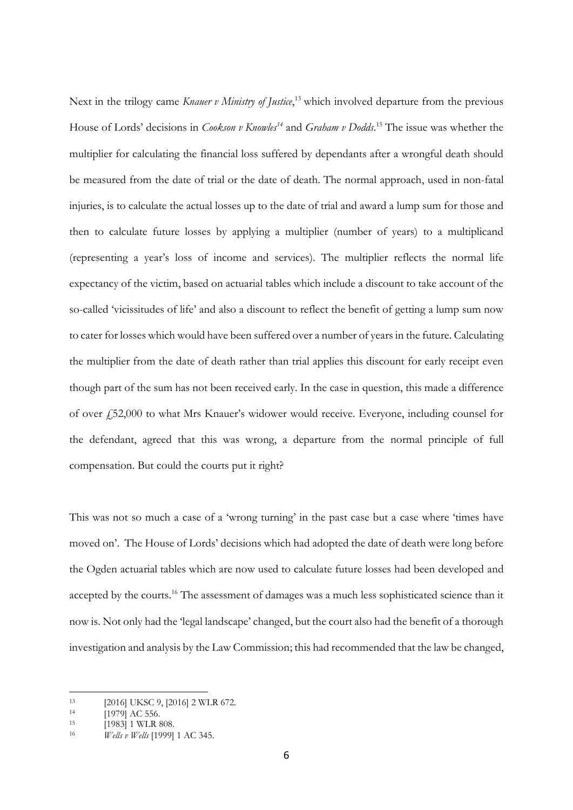Next in the trilogy came *Knauer v Ministry of Justice*, <sup>13</sup> which involved departure from the previous House of Lords' decisions in *Cookson v Knowles<sup>14</sup>* and *Graham v Dodds*. <sup>15</sup> The issue was whether the multiplier for calculating the financial loss suffered by dependants after a wrongful death should be measured from the date of trial or the date of death. The normal approach, used in non-fatal injuries, is to calculate the actual losses up to the date of trial and award a lump sum for those and then to calculate future losses by applying a multiplier (number of years) to a multiplicand (representing a year's loss of income and services). The multiplier reflects the normal life expectancy of the victim, based on actuarial tables which include a discount to take account of the so-called 'vicissitudes of life' and also a discount to reflect the benefit of getting a lump sum now to cater for losses which would have been suffered over a number of years in the future. Calculating the multiplier from the date of death rather than trial applies this discount for early receipt even though part of the sum has not been received early. In the case in question, this made a difference of over £52,000 to what Mrs Knauer's widower would receive. Everyone, including counsel for the defendant, agreed that this was wrong, a departure from the normal principle of full compensation. But could the courts put it right?

This was not so much a case of a 'wrong turning' in the past case but a case where 'times have moved on'. The House of Lords' decisions which had adopted the date of death were long before the Ogden actuarial tables which are now used to calculate future losses had been developed and accepted by the courts.<sup>16</sup> The assessment of damages was a much less sophisticated science than it now is. Not only had the 'legal landscape' changed, but the court also had the benefit of a thorough investigation and analysis by the Law Commission; this had recommended that the law be changed,

<sup>&</sup>lt;u>.</u> <sup>13</sup> [2016] UKSC 9, [2016] 2 WLR 672.

 $\begin{bmatrix} 14 & 1979 \end{bmatrix}$  AC 556.<br>  $\begin{bmatrix} 19831 & 1 \end{bmatrix}$  WT R 8

<sup>[1983] 1</sup> WLR 808.

<sup>16</sup> *Wells v Wells* [1999] 1 AC 345.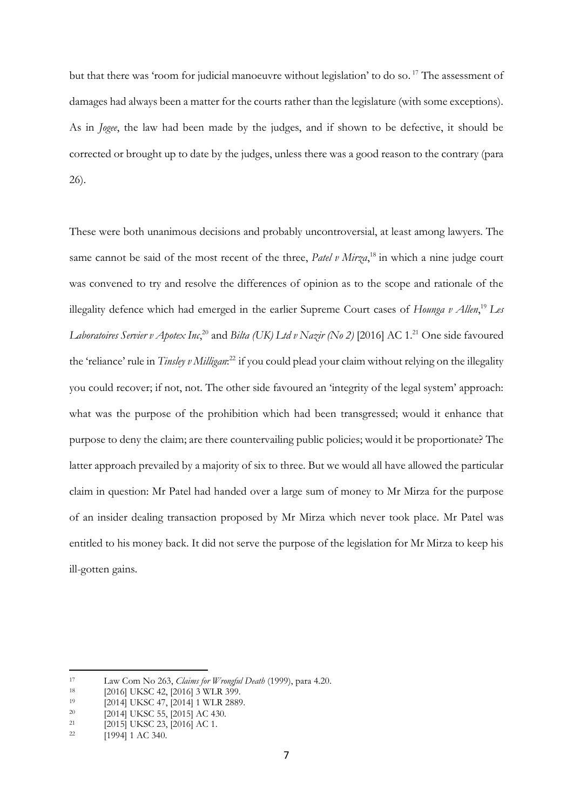but that there was 'room for judicial manoeuvre without legislation' to do so.<sup>17</sup> The assessment of damages had always been a matter for the courts rather than the legislature (with some exceptions). As in *Jogee*, the law had been made by the judges, and if shown to be defective, it should be corrected or brought up to date by the judges, unless there was a good reason to the contrary (para 26).

These were both unanimous decisions and probably uncontroversial, at least among lawyers. The same cannot be said of the most recent of the three, *Patel v Mirza*,<sup>18</sup> in which a nine judge court was convened to try and resolve the differences of opinion as to the scope and rationale of the illegality defence which had emerged in the earlier Supreme Court cases of *Hounga v Allen*, <sup>19</sup> *Les*  Laboratoires Servier v Apotex Inc,<sup>20</sup> and *Bilta (UK) Ltd v Nazir (No 2)* [2016] AC 1.<sup>21</sup> One side favoured the 'reliance' rule in *Tinsley v Milligan*: <sup>22</sup> if you could plead your claim without relying on the illegality you could recover; if not, not. The other side favoured an 'integrity of the legal system' approach: what was the purpose of the prohibition which had been transgressed; would it enhance that purpose to deny the claim; are there countervailing public policies; would it be proportionate? The latter approach prevailed by a majority of six to three. But we would all have allowed the particular claim in question: Mr Patel had handed over a large sum of money to Mr Mirza for the purpose of an insider dealing transaction proposed by Mr Mirza which never took place. Mr Patel was entitled to his money back. It did not serve the purpose of the legislation for Mr Mirza to keep his ill-gotten gains.

<sup>17</sup> Law Com No 263, *Claims for Wrongful Death* (1999), para 4.20.

<sup>&</sup>lt;sup>18</sup> [2016] UKSC 42, [2016] 3 WLR 399.

<sup>19 [2014]</sup> UKSC 47, [2014] 1 WLR 2889.

<sup>&</sup>lt;sup>20</sup> [2014] UKSC 55, [2015] AC 430.

 $21$  [2015] UKSC 23, [2016] AC 1.

<sup>&</sup>lt;sup>22</sup> [1994] 1 AC 340.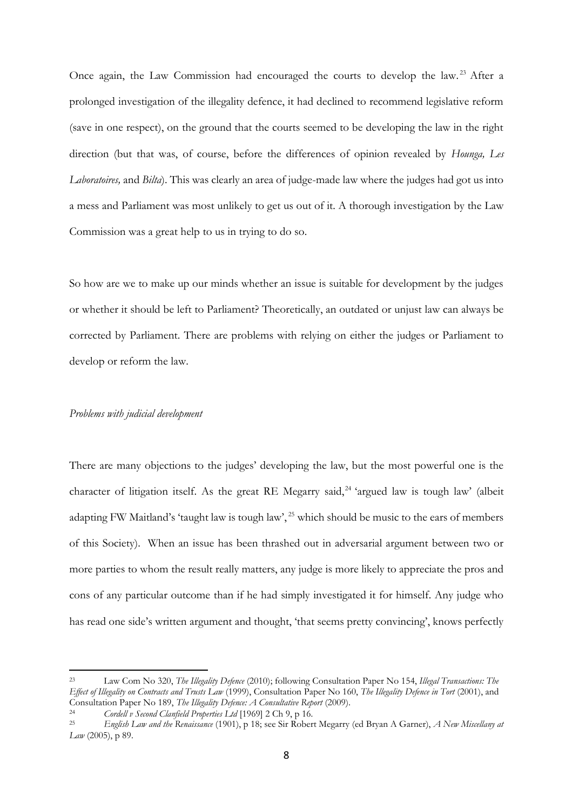Once again, the Law Commission had encouraged the courts to develop the law.<sup>23</sup> After a prolonged investigation of the illegality defence, it had declined to recommend legislative reform (save in one respect), on the ground that the courts seemed to be developing the law in the right direction (but that was, of course, before the differences of opinion revealed by *Hounga, Les Laboratoires,* and *Bilta*). This was clearly an area of judge-made law where the judges had got us into a mess and Parliament was most unlikely to get us out of it. A thorough investigation by the Law Commission was a great help to us in trying to do so.

So how are we to make up our minds whether an issue is suitable for development by the judges or whether it should be left to Parliament? Theoretically, an outdated or unjust law can always be corrected by Parliament. There are problems with relying on either the judges or Parliament to develop or reform the law.

## *Problems with judicial development*

<u>.</u>

There are many objections to the judges' developing the law, but the most powerful one is the character of litigation itself. As the great RE Megarry said,<sup>24</sup> 'argued law is tough law' (albeit adapting FW Maitland's 'taught law is tough law', <sup>25</sup> which should be music to the ears of members of this Society). When an issue has been thrashed out in adversarial argument between two or more parties to whom the result really matters, any judge is more likely to appreciate the pros and cons of any particular outcome than if he had simply investigated it for himself. Any judge who has read one side's written argument and thought, 'that seems pretty convincing', knows perfectly

<sup>23</sup> Law Com No 320, *The Illegality Defence* (2010); following Consultation Paper No 154, *Illegal Transactions: The Effect of Illegality on Contracts and Trusts Law* (1999), Consultation Paper No 160, *The Illegality Defence in Tort* (2001), and Consultation Paper No 189, *The Illegality Defence: A Consultative Report* (2009).

<sup>&</sup>lt;sup>24</sup> *Cordell v Second Clanfield Properties Ltd* [1969] 2 Ch 9, p 16.<br><sup>25</sup> *English Laps and the Benaissance* (1901), p 18: see Sir Bober

<sup>25</sup> *English Law and the Renaissance* (1901), p 18; see Sir Robert Megarry (ed Bryan A Garner), *A New Miscellany at Law* (2005), p 89.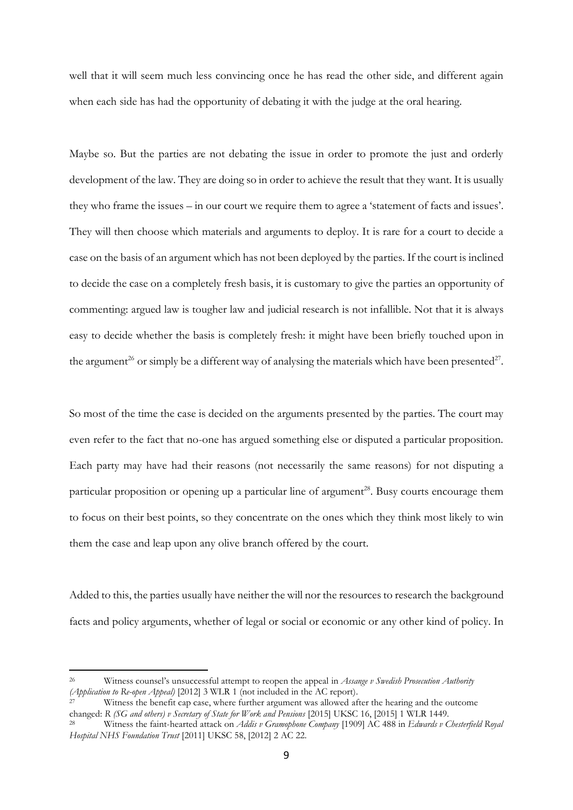well that it will seem much less convincing once he has read the other side, and different again when each side has had the opportunity of debating it with the judge at the oral hearing.

Maybe so. But the parties are not debating the issue in order to promote the just and orderly development of the law. They are doing so in order to achieve the result that they want. It is usually they who frame the issues – in our court we require them to agree a 'statement of facts and issues'. They will then choose which materials and arguments to deploy. It is rare for a court to decide a case on the basis of an argument which has not been deployed by the parties. If the court is inclined to decide the case on a completely fresh basis, it is customary to give the parties an opportunity of commenting: argued law is tougher law and judicial research is not infallible. Not that it is always easy to decide whether the basis is completely fresh: it might have been briefly touched upon in the argument<sup>26</sup> or simply be a different way of analysing the materials which have been presented<sup>27</sup>.

So most of the time the case is decided on the arguments presented by the parties. The court may even refer to the fact that no-one has argued something else or disputed a particular proposition. Each party may have had their reasons (not necessarily the same reasons) for not disputing a particular proposition or opening up a particular line of argument<sup>28</sup>. Busy courts encourage them to focus on their best points, so they concentrate on the ones which they think most likely to win them the case and leap upon any olive branch offered by the court.

Added to this, the parties usually have neither the will nor the resources to research the background facts and policy arguments, whether of legal or social or economic or any other kind of policy. In

<sup>26</sup> Witness counsel's unsuccessful attempt to reopen the appeal in *Assange v Swedish Prosecution Authority (Application to Re-open Appeal)* [2012] 3 WLR 1 (not included in the AC report).

Witness the benefit cap case, where further argument was allowed after the hearing and the outcome changed: *R (SG and others) v Secretary of State for Work and Pensions* [2015] UKSC 16, [2015] 1 WLR 1449.

<sup>28</sup> Witness the faint-hearted attack on *Addis v Gramophone Company* [1909] AC 488 in *Edwards v Chesterfield Royal Hospital NHS Foundation Trust* [2011] UKSC 58, [2012] 2 AC 22.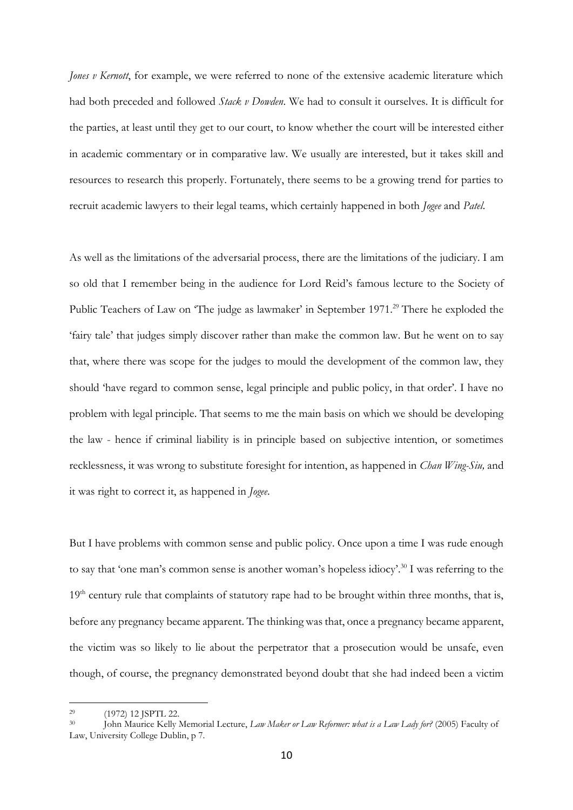*Jones v Kernott*, for example, we were referred to none of the extensive academic literature which had both preceded and followed *Stack v Dowden*. We had to consult it ourselves. It is difficult for the parties, at least until they get to our court, to know whether the court will be interested either in academic commentary or in comparative law. We usually are interested, but it takes skill and resources to research this properly. Fortunately, there seems to be a growing trend for parties to recruit academic lawyers to their legal teams, which certainly happened in both *Jogee* and *Patel*.

As well as the limitations of the adversarial process, there are the limitations of the judiciary. I am so old that I remember being in the audience for Lord Reid's famous lecture to the Society of Public Teachers of Law on 'The judge as lawmaker' in September 1971.<sup>29</sup> There he exploded the 'fairy tale' that judges simply discover rather than make the common law. But he went on to say that, where there was scope for the judges to mould the development of the common law, they should 'have regard to common sense, legal principle and public policy, in that order'. I have no problem with legal principle. That seems to me the main basis on which we should be developing the law - hence if criminal liability is in principle based on subjective intention, or sometimes recklessness, it was wrong to substitute foresight for intention, as happened in *Chan Wing-Siu,* and it was right to correct it, as happened in *Jogee*.

But I have problems with common sense and public policy. Once upon a time I was rude enough to say that 'one man's common sense is another woman's hopeless idiocy'.<sup>30</sup> I was referring to the  $19<sup>th</sup>$  century rule that complaints of statutory rape had to be brought within three months, that is, before any pregnancy became apparent. The thinking was that, once a pregnancy became apparent, the victim was so likely to lie about the perpetrator that a prosecution would be unsafe, even though, of course, the pregnancy demonstrated beyond doubt that she had indeed been a victim

<sup>29</sup> (1972) 12 JSPTL 22.

<sup>&</sup>lt;sup>30</sup> John Maurice Kelly Memorial Lecture, *Law Maker or Law Reformer: what is a Law Lady for?* (2005) Faculty of Law, University College Dublin, p 7.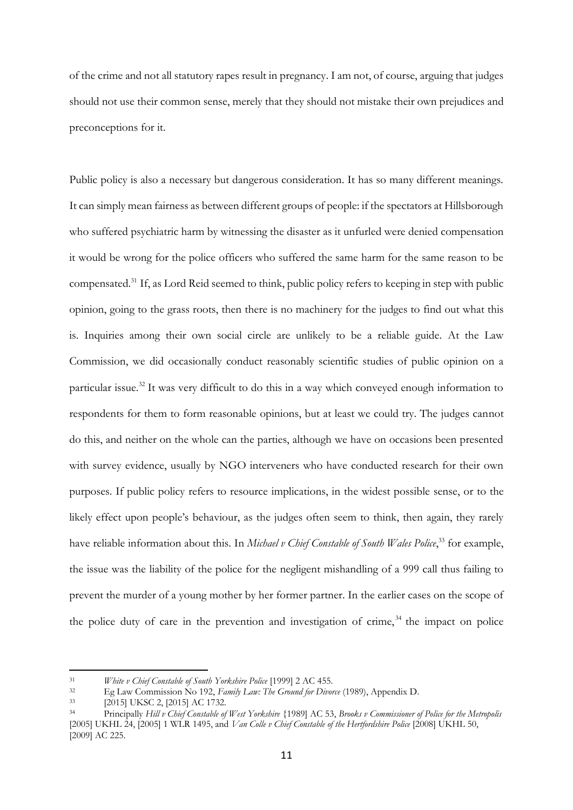of the crime and not all statutory rapes result in pregnancy. I am not, of course, arguing that judges should not use their common sense, merely that they should not mistake their own prejudices and preconceptions for it.

Public policy is also a necessary but dangerous consideration. It has so many different meanings. It can simply mean fairness as between different groups of people: if the spectators at Hillsborough who suffered psychiatric harm by witnessing the disaster as it unfurled were denied compensation it would be wrong for the police officers who suffered the same harm for the same reason to be compensated.<sup>31</sup> If, as Lord Reid seemed to think, public policy refers to keeping in step with public opinion, going to the grass roots, then there is no machinery for the judges to find out what this is. Inquiries among their own social circle are unlikely to be a reliable guide. At the Law Commission, we did occasionally conduct reasonably scientific studies of public opinion on a particular issue.<sup>32</sup> It was very difficult to do this in a way which conveyed enough information to respondents for them to form reasonable opinions, but at least we could try. The judges cannot do this, and neither on the whole can the parties, although we have on occasions been presented with survey evidence, usually by NGO interveners who have conducted research for their own purposes. If public policy refers to resource implications, in the widest possible sense, or to the likely effect upon people's behaviour, as the judges often seem to think, then again, they rarely have reliable information about this. In *Michael v Chief Constable of South Wales Police*, <sup>33</sup> for example, the issue was the liability of the police for the negligent mishandling of a 999 call thus failing to prevent the murder of a young mother by her former partner. In the earlier cases on the scope of the police duty of care in the prevention and investigation of crime,  $34$  the impact on police

<sup>&</sup>lt;sup>31</sup> *White v Chief Constable of South Yorkshire Police* [1999] 2 AC 455.<br><sup>32</sup> • Eq. J aw Commission No. 192. *Eamily Law: The Ground for Dinor* 

<sup>32</sup> Eg Law Commission No 192, *Family Law: The Ground for Divorce* (1989), Appendix D.

<sup>33</sup> [2015] UKSC 2, [2015] AC 1732.

<sup>34</sup> Principally *Hill v Chief Constable of West Yorkshire* {1989] AC 53, *Brooks v Commissioner of Police for the Metropolis*  [2005] UKHL 24, [2005] 1 WLR 1495, and *Van Colle v Chief Constable of the Hertfordshire Police* [2008] UKHL 50, [2009] AC 225.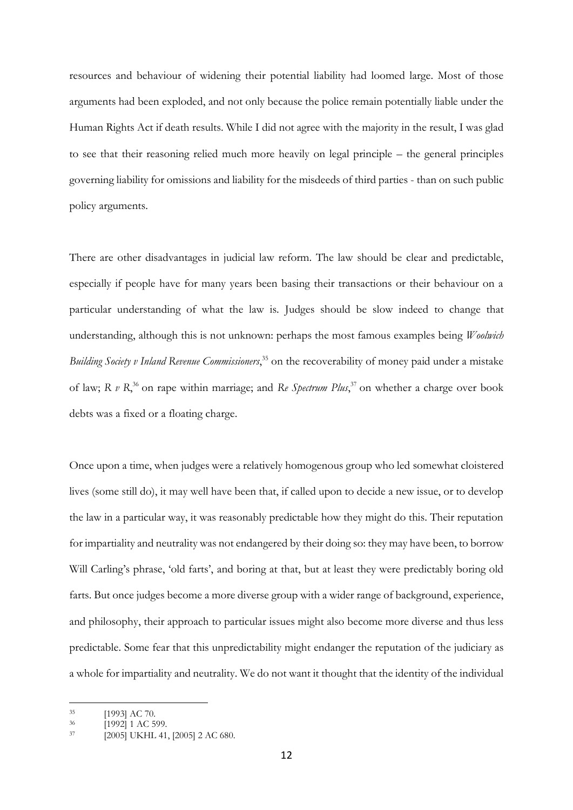resources and behaviour of widening their potential liability had loomed large. Most of those arguments had been exploded, and not only because the police remain potentially liable under the Human Rights Act if death results. While I did not agree with the majority in the result, I was glad to see that their reasoning relied much more heavily on legal principle – the general principles governing liability for omissions and liability for the misdeeds of third parties - than on such public policy arguments.

There are other disadvantages in judicial law reform. The law should be clear and predictable, especially if people have for many years been basing their transactions or their behaviour on a particular understanding of what the law is. Judges should be slow indeed to change that understanding, although this is not unknown: perhaps the most famous examples being *Woolwich*  Building Society v Inland Revenue Commissioners,<sup>35</sup> on the recoverability of money paid under a mistake of law; *R v R*,<sup>36</sup> on rape within marriage; and *Re Spectrum Plus*,<sup>37</sup> on whether a charge over book debts was a fixed or a floating charge.

Once upon a time, when judges were a relatively homogenous group who led somewhat cloistered lives (some still do), it may well have been that, if called upon to decide a new issue, or to develop the law in a particular way, it was reasonably predictable how they might do this. Their reputation for impartiality and neutrality was not endangered by their doing so: they may have been, to borrow Will Carling's phrase, 'old farts', and boring at that, but at least they were predictably boring old farts. But once judges become a more diverse group with a wider range of background, experience, and philosophy, their approach to particular issues might also become more diverse and thus less predictable. Some fear that this unpredictability might endanger the reputation of the judiciary as a whole for impartiality and neutrality. We do not want it thought that the identity of the individual

<sup>35</sup> [1993] AC 70.

 $\frac{36}{37}$  [1992] 1 AC 599.

 $\overline{20051}$  UKHL 41, [2005] 2 AC 680.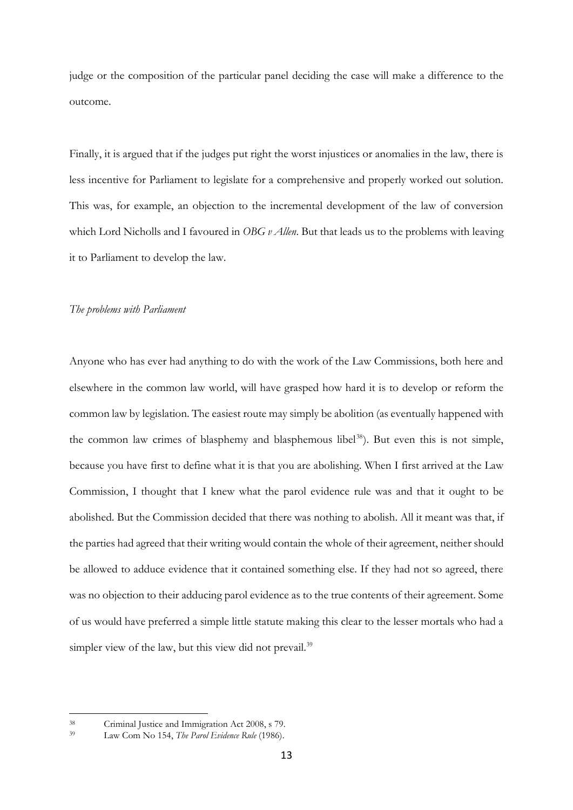judge or the composition of the particular panel deciding the case will make a difference to the outcome.

Finally, it is argued that if the judges put right the worst injustices or anomalies in the law, there is less incentive for Parliament to legislate for a comprehensive and properly worked out solution. This was, for example, an objection to the incremental development of the law of conversion which Lord Nicholls and I favoured in *OBG v Allen*. But that leads us to the problems with leaving it to Parliament to develop the law.

## *The problems with Parliament*

Anyone who has ever had anything to do with the work of the Law Commissions, both here and elsewhere in the common law world, will have grasped how hard it is to develop or reform the common law by legislation. The easiest route may simply be abolition (as eventually happened with the common law crimes of blasphemy and blasphemous libel<sup>38</sup>). But even this is not simple, because you have first to define what it is that you are abolishing. When I first arrived at the Law Commission, I thought that I knew what the parol evidence rule was and that it ought to be abolished. But the Commission decided that there was nothing to abolish. All it meant was that, if the parties had agreed that their writing would contain the whole of their agreement, neither should be allowed to adduce evidence that it contained something else. If they had not so agreed, there was no objection to their adducing parol evidence as to the true contents of their agreement. Some of us would have preferred a simple little statute making this clear to the lesser mortals who had a simpler view of the law, but this view did not prevail.<sup>39</sup>

<sup>38</sup> Criminal Justice and Immigration Act 2008, s 79.

Law Com No 154, *The Parol Evidence Rule* (1986).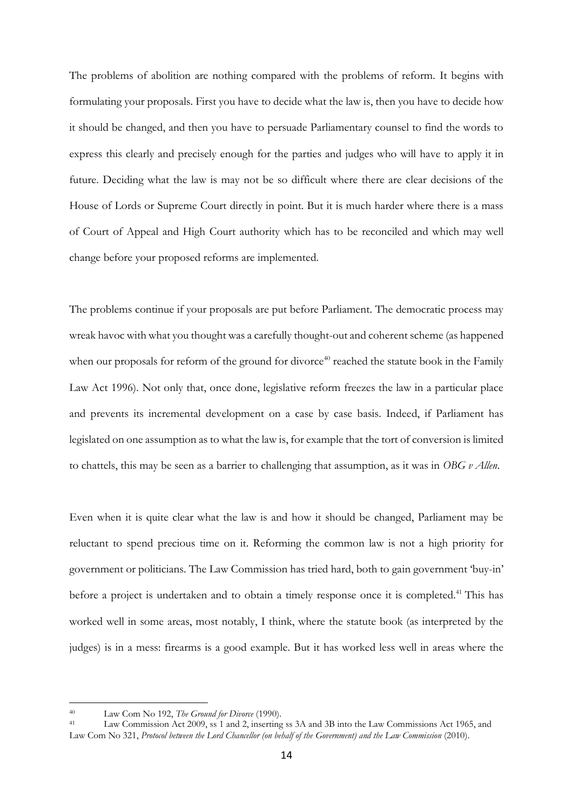The problems of abolition are nothing compared with the problems of reform. It begins with formulating your proposals. First you have to decide what the law is, then you have to decide how it should be changed, and then you have to persuade Parliamentary counsel to find the words to express this clearly and precisely enough for the parties and judges who will have to apply it in future. Deciding what the law is may not be so difficult where there are clear decisions of the House of Lords or Supreme Court directly in point. But it is much harder where there is a mass of Court of Appeal and High Court authority which has to be reconciled and which may well change before your proposed reforms are implemented.

The problems continue if your proposals are put before Parliament. The democratic process may wreak havoc with what you thought was a carefully thought-out and coherent scheme (as happened when our proposals for reform of the ground for divorce<sup>40</sup> reached the statute book in the Family Law Act 1996). Not only that, once done, legislative reform freezes the law in a particular place and prevents its incremental development on a case by case basis. Indeed, if Parliament has legislated on one assumption as to what the law is, for example that the tort of conversion is limited to chattels, this may be seen as a barrier to challenging that assumption, as it was in *OBG v Allen*.

Even when it is quite clear what the law is and how it should be changed, Parliament may be reluctant to spend precious time on it. Reforming the common law is not a high priority for government or politicians. The Law Commission has tried hard, both to gain government 'buy-in' before a project is undertaken and to obtain a timely response once it is completed.<sup>41</sup> This has worked well in some areas, most notably, I think, where the statute book (as interpreted by the judges) is in a mess: firearms is a good example. But it has worked less well in areas where the

<sup>40</sup> Law Com No 192, *The Ground for Divorce* (1990).

Law Commission Act 2009, ss 1 and 2, inserting ss 3A and 3B into the Law Commissions Act 1965, and Law Com No 321, *Protocol between the Lord Chancellor (on behalf of the Government) and the Law Commission* (2010).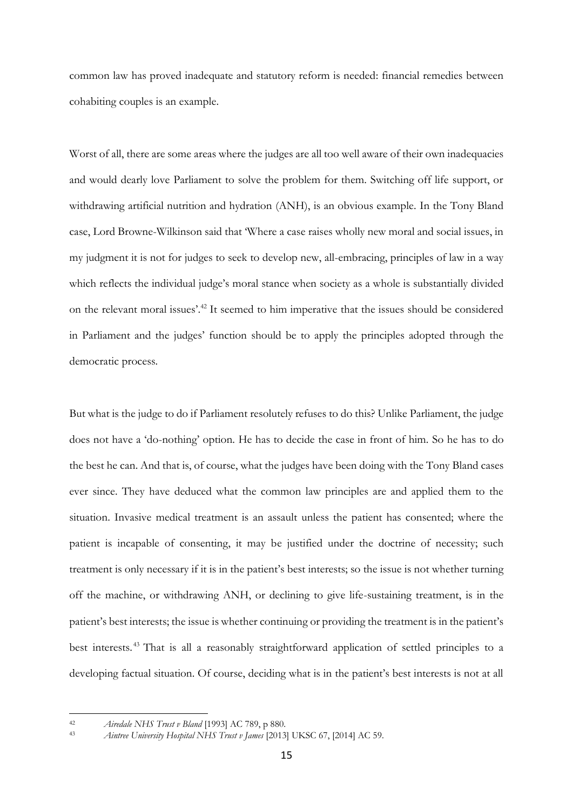common law has proved inadequate and statutory reform is needed: financial remedies between cohabiting couples is an example.

Worst of all, there are some areas where the judges are all too well aware of their own inadequacies and would dearly love Parliament to solve the problem for them. Switching off life support, or withdrawing artificial nutrition and hydration (ANH), is an obvious example. In the Tony Bland case, Lord Browne-Wilkinson said that 'Where a case raises wholly new moral and social issues, in my judgment it is not for judges to seek to develop new, all-embracing, principles of law in a way which reflects the individual judge's moral stance when society as a whole is substantially divided on the relevant moral issues'.<sup>42</sup> It seemed to him imperative that the issues should be considered in Parliament and the judges' function should be to apply the principles adopted through the democratic process.

But what is the judge to do if Parliament resolutely refuses to do this? Unlike Parliament, the judge does not have a 'do-nothing' option. He has to decide the case in front of him. So he has to do the best he can. And that is, of course, what the judges have been doing with the Tony Bland cases ever since. They have deduced what the common law principles are and applied them to the situation. Invasive medical treatment is an assault unless the patient has consented; where the patient is incapable of consenting, it may be justified under the doctrine of necessity; such treatment is only necessary if it is in the patient's best interests; so the issue is not whether turning off the machine, or withdrawing ANH, or declining to give life-sustaining treatment, is in the patient's best interests; the issue is whether continuing or providing the treatment is in the patient's best interests. <sup>43</sup> That is all a reasonably straightforward application of settled principles to a developing factual situation. Of course, deciding what is in the patient's best interests is not at all

<sup>&</sup>lt;u>.</u> <sup>42</sup> *Airedale NHS Trust v Bland* [1993] AC 789, p 880.

<sup>43</sup> *Aintree University Hospital NHS Trust v James* [2013] UKSC 67, [2014] AC 59.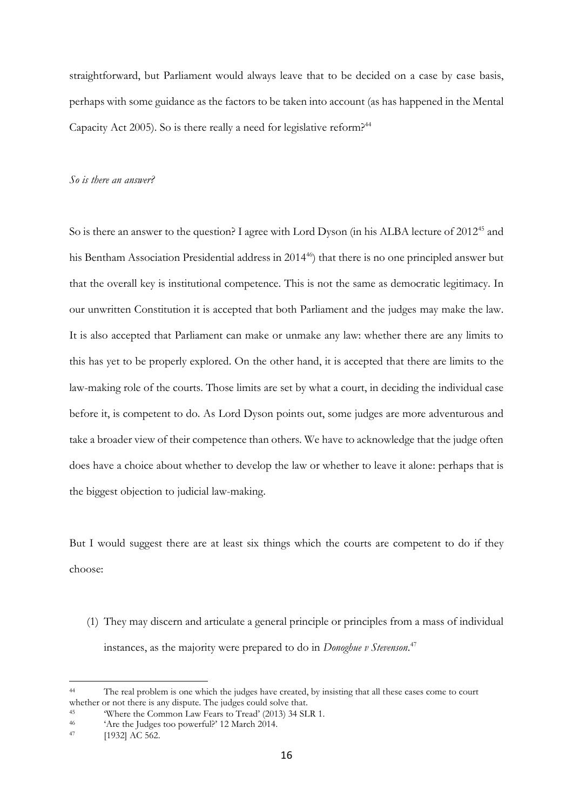straightforward, but Parliament would always leave that to be decided on a case by case basis, perhaps with some guidance as the factors to be taken into account (as has happened in the Mental Capacity Act 2005). So is there really a need for legislative reform?<sup>44</sup>

#### *So is there an answer?*

So is there an answer to the question? I agree with Lord Dyson (in his ALBA lecture of 2012<sup>45</sup> and his Bentham Association Presidential address in 2014<sup>46</sup>) that there is no one principled answer but that the overall key is institutional competence. This is not the same as democratic legitimacy. In our unwritten Constitution it is accepted that both Parliament and the judges may make the law. It is also accepted that Parliament can make or unmake any law: whether there are any limits to this has yet to be properly explored. On the other hand, it is accepted that there are limits to the law-making role of the courts. Those limits are set by what a court, in deciding the individual case before it, is competent to do. As Lord Dyson points out, some judges are more adventurous and take a broader view of their competence than others. We have to acknowledge that the judge often does have a choice about whether to develop the law or whether to leave it alone: perhaps that is the biggest objection to judicial law-making.

But I would suggest there are at least six things which the courts are competent to do if they choose:

(1) They may discern and articulate a general principle or principles from a mass of individual instances, as the majority were prepared to do in *Donoghue v Stevenson*. 47

<sup>44</sup> The real problem is one which the judges have created, by insisting that all these cases come to court whether or not there is any dispute. The judges could solve that.

<sup>&</sup>lt;sup>45</sup> Where the Common Law Fears to Tread'  $(2013)$  34 SLR 1.<br><sup>46</sup> Are the Judges too powerful<sup>2</sup> 12 March 2014

<sup>46</sup> 'Are the Judges too powerful?' 12 March 2014.

<sup>[1932]</sup> AC 562.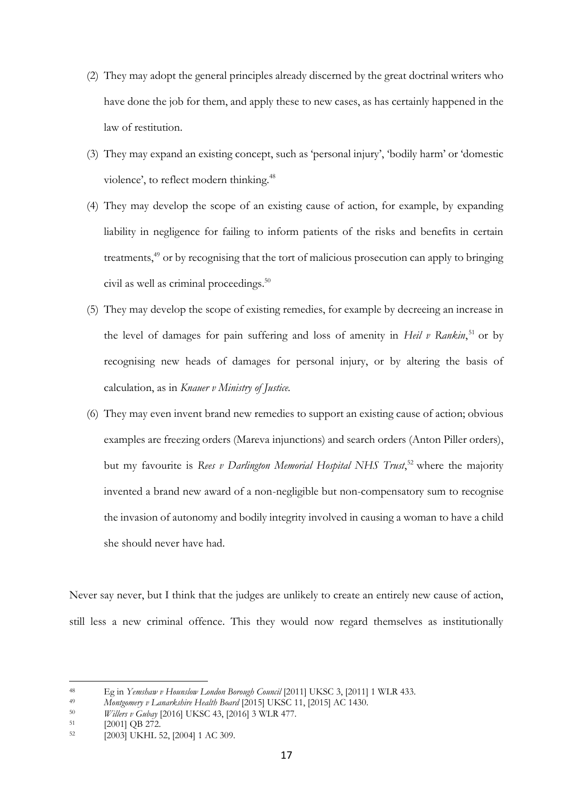- (2) They may adopt the general principles already discerned by the great doctrinal writers who have done the job for them, and apply these to new cases, as has certainly happened in the law of restitution.
- (3) They may expand an existing concept, such as 'personal injury', 'bodily harm' or 'domestic violence', to reflect modern thinking.<sup>48</sup>
- (4) They may develop the scope of an existing cause of action, for example, by expanding liability in negligence for failing to inform patients of the risks and benefits in certain treatments,<sup>49</sup> or by recognising that the tort of malicious prosecution can apply to bringing civil as well as criminal proceedings.<sup>50</sup>
- (5) They may develop the scope of existing remedies, for example by decreeing an increase in the level of damages for pain suffering and loss of amenity in *Heil v Rankin*,<sup>51</sup> or by recognising new heads of damages for personal injury, or by altering the basis of calculation, as in *Knauer v Ministry of Justice.*
- (6) They may even invent brand new remedies to support an existing cause of action; obvious examples are freezing orders (Mareva injunctions) and search orders (Anton Piller orders), but my favourite is *Rees v Darlington Memorial Hospital NHS Trust*,<sup>52</sup> where the majority invented a brand new award of a non-negligible but non-compensatory sum to recognise the invasion of autonomy and bodily integrity involved in causing a woman to have a child she should never have had.

Never say never, but I think that the judges are unlikely to create an entirely new cause of action, still less a new criminal offence. This they would now regard themselves as institutionally

<sup>48</sup> Eg in *Yemshaw v Hounslow London Borough Council* [2011] UKSC 3, [2011] 1 WLR 433.<br>49 Montgomery v Langrkshire Health Board [2015] UKSC 11, [2015] AC 1430.

<sup>49</sup> *Montgomery v Lanarkshire Health Board* [2015] UKSC 11, [2015] AC 1430.<br><sup>50</sup> *Willers v Gubay* [2016] UKSC 43, [2016] 3 WI R 477

<sup>50</sup> *Willers v Gubay* [2016] UKSC 43, [2016] 3 WLR 477.

 $\frac{51}{52}$  [2001] QB 272.

<sup>[2003]</sup> UKHL 52, [2004] 1 AC 309.